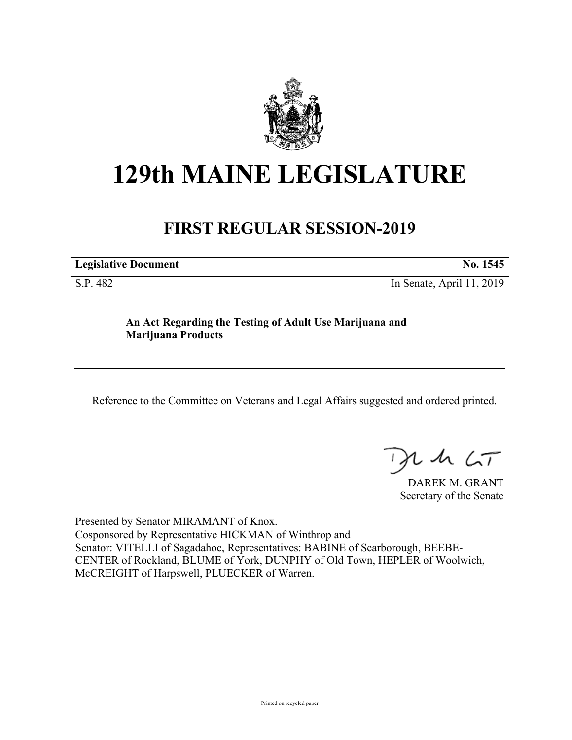

## **129th MAINE LEGISLATURE**

## **FIRST REGULAR SESSION-2019**

| <b>Legislative Document</b> | No. 1545 |
|-----------------------------|----------|
|-----------------------------|----------|

S.P. 482 In Senate, April 11, 2019

## **An Act Regarding the Testing of Adult Use Marijuana and Marijuana Products**

Reference to the Committee on Veterans and Legal Affairs suggested and ordered printed.

 $425$ 

DAREK M. GRANT Secretary of the Senate

Presented by Senator MIRAMANT of Knox. Cosponsored by Representative HICKMAN of Winthrop and Senator: VITELLI of Sagadahoc, Representatives: BABINE of Scarborough, BEEBE-CENTER of Rockland, BLUME of York, DUNPHY of Old Town, HEPLER of Woolwich, McCREIGHT of Harpswell, PLUECKER of Warren.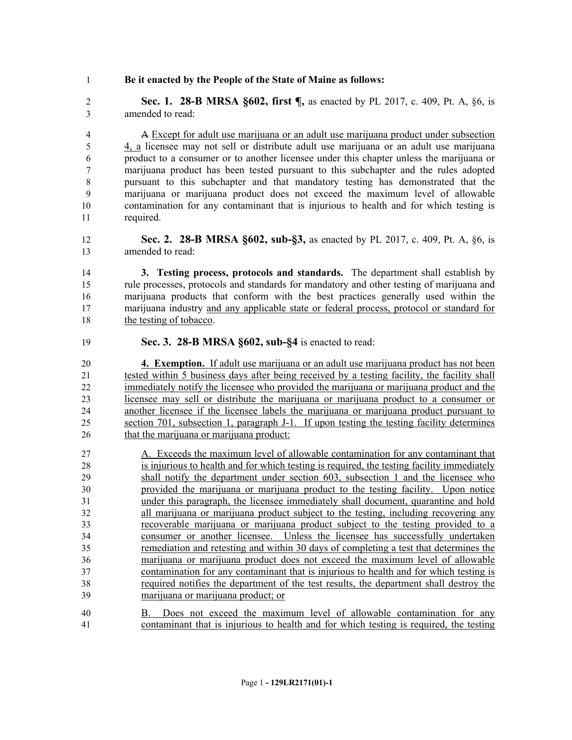## **Be it enacted by the People of the State of Maine as follows:**

 **Sec. 1. 28-B MRSA §602, first ¶,** as enacted by PL 2017, c. 409, Pt. A, §6, is amended to read:

 A Except for adult use marijuana or an adult use marijuana product under subsection 4, a licensee may not sell or distribute adult use marijuana or an adult use marijuana product to a consumer or to another licensee under this chapter unless the marijuana or marijuana product has been tested pursuant to this subchapter and the rules adopted pursuant to this subchapter and that mandatory testing has demonstrated that the marijuana or marijuana product does not exceed the maximum level of allowable contamination for any contaminant that is injurious to health and for which testing is required.

 **Sec. 2. 28-B MRSA §602, sub-§3,** as enacted by PL 2017, c. 409, Pt. A, §6, is amended to read:

 **3. Testing process, protocols and standards.** The department shall establish by rule processes, protocols and standards for mandatory and other testing of marijuana and marijuana products that conform with the best practices generally used within the marijuana industry and any applicable state or federal process, protocol or standard for the testing of tobacco.

**Sec. 3. 28-B MRSA §602, sub-§4** is enacted to read:

 **4. Exemption.** If adult use marijuana or an adult use marijuana product has not been tested within 5 business days after being received by a testing facility, the facility shall immediately notify the licensee who provided the marijuana or marijuana product and the licensee may sell or distribute the marijuana or marijuana product to a consumer or another licensee if the licensee labels the marijuana or marijuana product pursuant to section 701, subsection 1, paragraph J-1. If upon testing the testing facility determines 26 that the marijuana or marijuana product:

 A. Exceeds the maximum level of allowable contamination for any contaminant that is injurious to health and for which testing is required, the testing facility immediately shall notify the department under section 603, subsection 1 and the licensee who provided the marijuana or marijuana product to the testing facility. Upon notice under this paragraph, the licensee immediately shall document, quarantine and hold all marijuana or marijuana product subject to the testing, including recovering any recoverable marijuana or marijuana product subject to the testing provided to a consumer or another licensee. Unless the licensee has successfully undertaken remediation and retesting and within 30 days of completing a test that determines the marijuana or marijuana product does not exceed the maximum level of allowable contamination for any contaminant that is injurious to health and for which testing is required notifies the department of the test results, the department shall destroy the marijuana or marijuana product; or

 B. Does not exceed the maximum level of allowable contamination for any contaminant that is injurious to health and for which testing is required, the testing